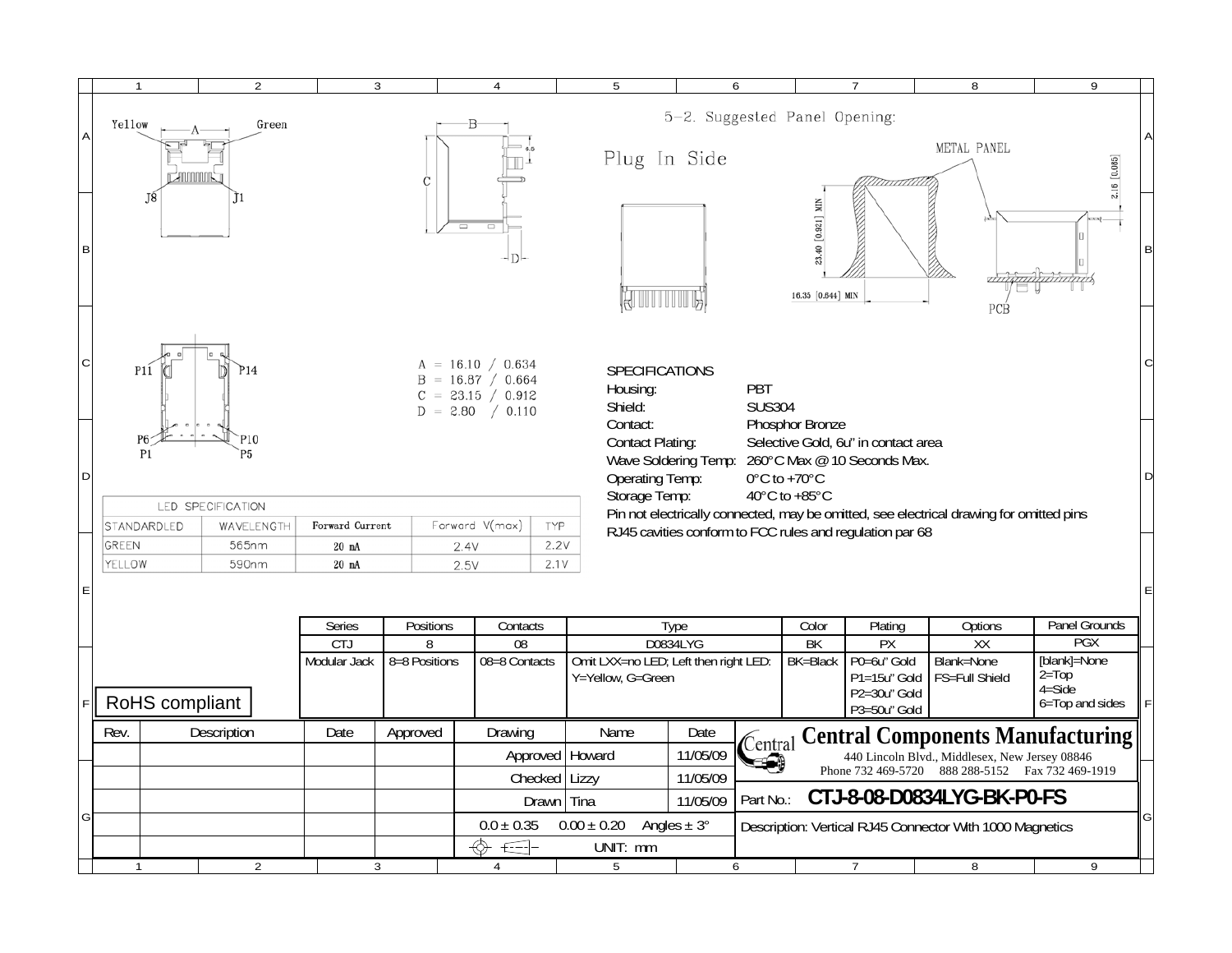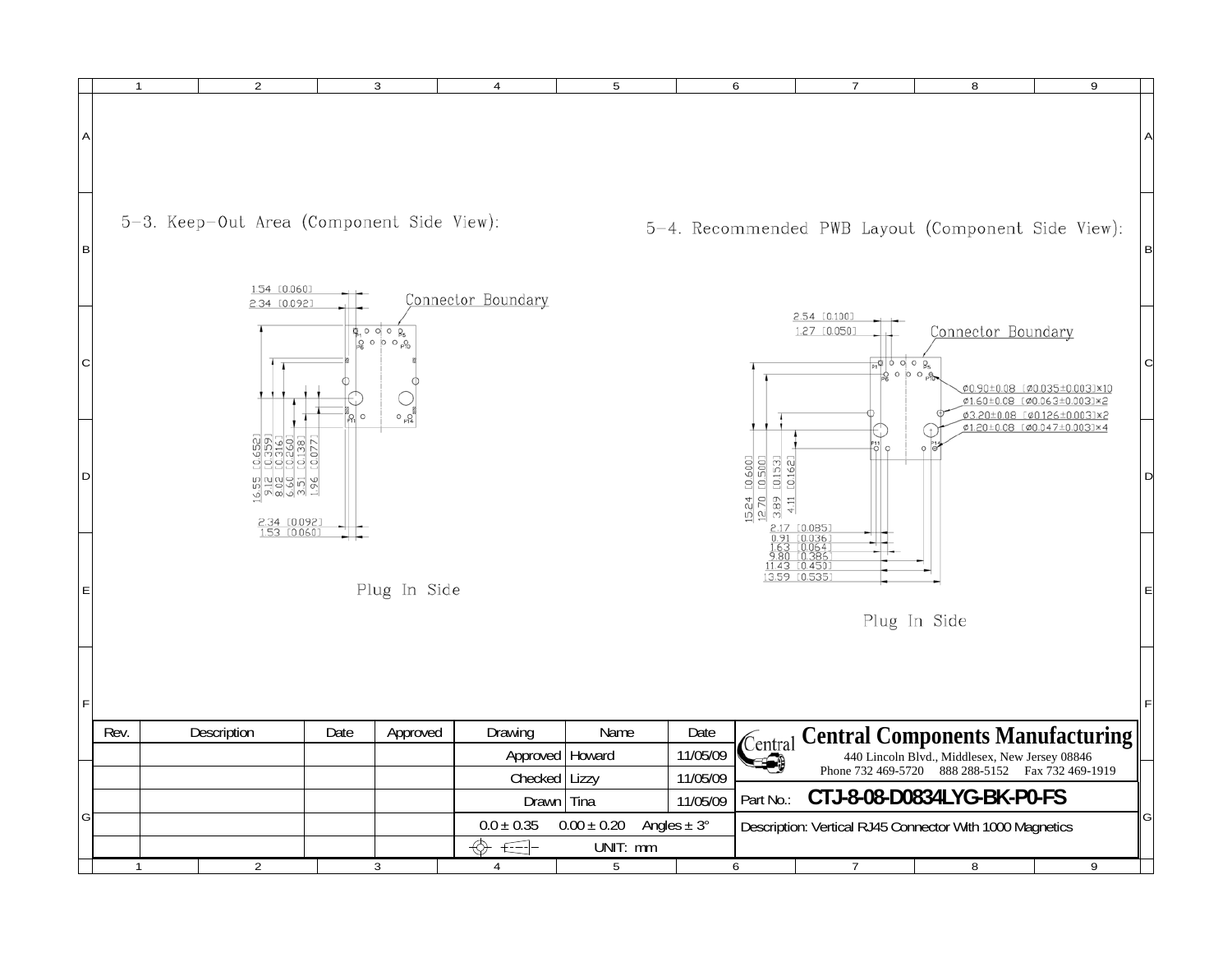